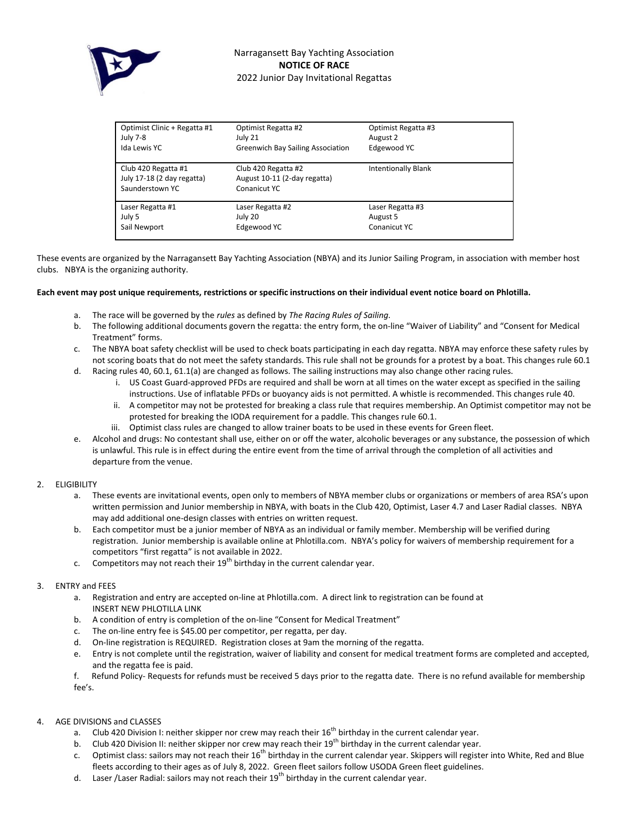

| Optimist Clinic + Regatta #1<br>July 7-8                             | Optimist Regatta #2<br>July 21                                      | Optimist Regatta #3<br>August 2              |
|----------------------------------------------------------------------|---------------------------------------------------------------------|----------------------------------------------|
| Ida Lewis YC                                                         | <b>Greenwich Bay Sailing Association</b>                            | Edgewood YC                                  |
| Club 420 Regatta #1<br>July 17-18 (2 day regatta)<br>Saunderstown YC | Club 420 Regatta #2<br>August 10-11 (2-day regatta)<br>Conanicut YC | <b>Intentionally Blank</b>                   |
| Laser Regatta #1<br>July 5<br>Sail Newport                           | Laser Regatta #2<br>July 20<br>Edgewood YC                          | Laser Regatta #3<br>August 5<br>Conanicut YC |

These events are organized by the Narragansett Bay Yachting Association (NBYA) and its Junior Sailing Program, in association with member host clubs. NBYA is the organizing authority.

#### **Each event may post unique requirements, restrictions or specific instructions on their individual event notice board on Phlotilla.**

- a. The race will be governed by the *rules* as defined by *The Racing Rules of Sailing.*
- b. The following additional documents govern the regatta: the entry form, the on-line "Waiver of Liability" and "Consent for Medical Treatment" forms.
- c. The NBYA boat safety checklist will be used to check boats participating in each day regatta. NBYA may enforce these safety rules by not scoring boats that do not meet the safety standards. This rule shall not be grounds for a protest by a boat. This changes rule 60.1
- d. Racing rules 40, 60.1, 61.1(a) are changed as follows. The sailing instructions may also change other racing rules.
	- i. US Coast Guard-approved PFDs are required and shall be worn at all times on the water except as specified in the sailing instructions. Use of inflatable PFDs or buoyancy aids is not permitted. A whistle is recommended. This changes rule 40.
	- ii. A competitor may not be protested for breaking a class rule that requires membership. An Optimist competitor may not be protested for breaking the IODA requirement for a paddle. This changes rule 60.1.
	- iii. Optimist class rules are changed to allow trainer boats to be used in these events for Green fleet.
- e. Alcohol and drugs: No contestant shall use, either on or off the water, alcoholic beverages or any substance, the possession of which is unlawful. This rule is in effect during the entire event from the time of arrival through the completion of all activities and departure from the venue.

# 2. ELIGIBILITY

- a. These events are invitational events, open only to members of NBYA member clubs or organizations or members of area RSA's upon written permission and Junior membership in NBYA, with boats in the Club 420, Optimist, Laser 4.7 and Laser Radial classes. NBYA may add additional one-design classes with entries on written request.
- b. Each competitor must be a junior member of NBYA as an individual or family member. Membership will be verified during registration. Junior membership is available online at Phlotilla.com. NBYA's policy for waivers of membership requirement for a competitors "first regatta" is not available in 2022.
- c. Competitors may not reach their  $19<sup>th</sup>$  birthday in the current calendar year.

# 3. ENTRY and FEES

- a. Registration and entry are accepted on-line at Phlotilla.com. A direct link to registration can be found at INSERT NEW PHLOTILLA LINK
- b. A condition of entry is completion of the on-line "Consent for Medical Treatment"
- c. The on-line entry fee is \$45.00 per competitor, per regatta, per day.
- d. On-line registration is REQUIRED. Registration closes at 9am the morning of the regatta.
- e. Entry is not complete until the registration, waiver of liability and consent for medical treatment forms are completed and accepted, and the regatta fee is paid.
- f. Refund Policy- Requests for refunds must be received 5 days prior to the regatta date. There is no refund available for membership fee's.
- 4. AGE DIVISIONS and CLASSES
	- a. Club 420 Division I: neither skipper nor crew may reach their 16<sup>th</sup> birthday in the current calendar year.
	- b. Club 420 Division II: neither skipper nor crew may reach their 19<sup>th</sup> birthday in the current calendar year.
	- c. Optimist class: sailors may not reach their 16<sup>th</sup> birthday in the current calendar year. Skippers will register into White, Red and Blue fleets according to their ages as of July 8, 2022. Green fleet sailors follow USODA Green fleet guidelines.
	- d. Laser /Laser Radial: sailors may not reach their 19<sup>th</sup> birthday in the current calendar year.